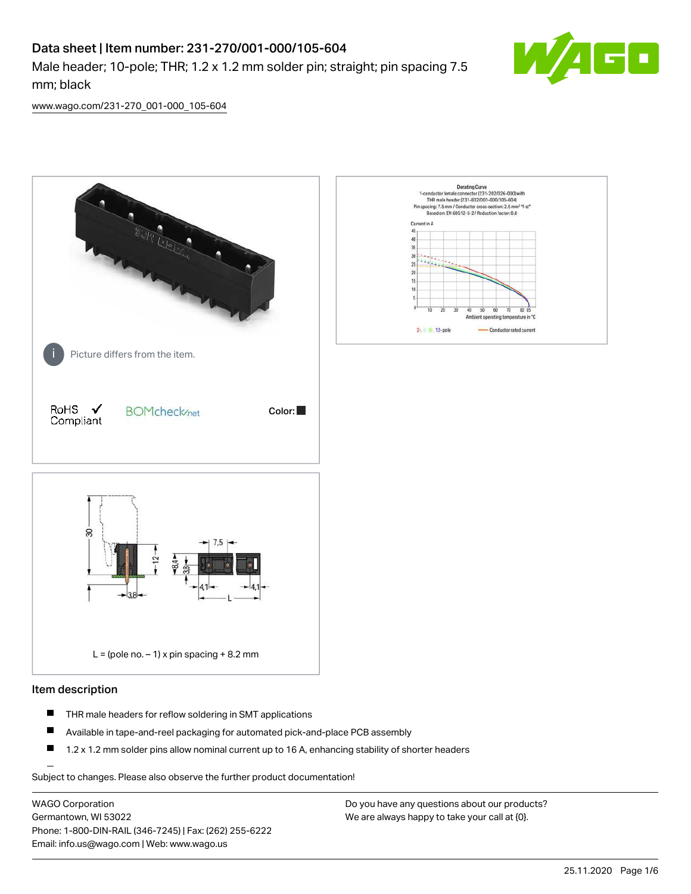# Data sheet | Item number: 231-270/001-000/105-604

Male header; 10-pole; THR; 1.2 x 1.2 mm solder pin; straight; pin spacing 7.5 mm; black



[www.wago.com/231-270\\_001-000\\_105-604](http://www.wago.com/231-270_001-000_105-604)



### Item description

- $\blacksquare$ THR male headers for reflow soldering in SMT applications
- $\blacksquare$ Available in tape-and-reel packaging for automated pick-and-place PCB assembly
- $\blacksquare$ 1.2 x 1.2 mm solder pins allow nominal current up to 16 A, enhancing stability of shorter headers

Subject to changes. Please also observe the further product documentation!

WAGO Corporation Germantown, WI 53022 Phone: 1-800-DIN-RAIL (346-7245) | Fax: (262) 255-6222 Email: info.us@wago.com | Web: www.wago.us

Do you have any questions about our products? We are always happy to take your call at {0}.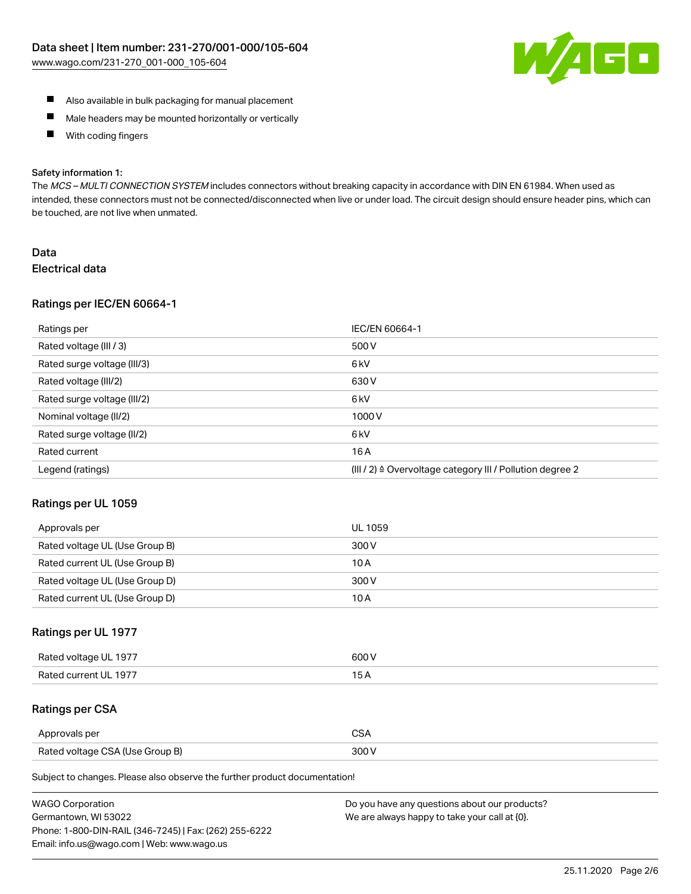

- Also available in bulk packaging for manual placement
- $\blacksquare$ Male headers may be mounted horizontally or vertically
- $\blacksquare$ With coding fingers

#### Safety information 1:

The MCS-MULTI CONNECTION SYSTEM includes connectors without breaking capacity in accordance with DIN EN 61984. When used as intended, these connectors must not be connected/disconnected when live or under load. The circuit design should ensure header pins, which can be touched, are not live when unmated.

# Data Electrical data

### Ratings per IEC/EN 60664-1

| Ratings per                 | IEC/EN 60664-1                                                       |
|-----------------------------|----------------------------------------------------------------------|
| Rated voltage (III / 3)     | 500 V                                                                |
| Rated surge voltage (III/3) | 6 <sub>kV</sub>                                                      |
| Rated voltage (III/2)       | 630 V                                                                |
| Rated surge voltage (III/2) | 6 <sub>kV</sub>                                                      |
| Nominal voltage (II/2)      | 1000V                                                                |
| Rated surge voltage (II/2)  | 6 <sub>k</sub> V                                                     |
| Rated current               | 16A                                                                  |
| Legend (ratings)            | (III / 2) $\triangleq$ Overvoltage category III / Pollution degree 2 |

### Ratings per UL 1059

| Approvals per                  | UL 1059 |
|--------------------------------|---------|
| Rated voltage UL (Use Group B) | 300 V   |
| Rated current UL (Use Group B) | 10 A    |
| Rated voltage UL (Use Group D) | 300 V   |
| Rated current UL (Use Group D) | 10 A    |

# Ratings per UL 1977

| Rated voltage UL 1977 | 600 V         |
|-----------------------|---------------|
| Rated current UL 1977 | $\sim$ $\sim$ |

# Ratings per CSA

| Approvals per                   | ົ |
|---------------------------------|---|
| Rated voltage CSA (Use Group B) |   |

Subject to changes. Please also observe the further product documentation!

| <b>WAGO Corporation</b>                                | Do you have any questions about our products? |
|--------------------------------------------------------|-----------------------------------------------|
| Germantown, WI 53022                                   | We are always happy to take your call at {0}. |
| Phone: 1-800-DIN-RAIL (346-7245)   Fax: (262) 255-6222 |                                               |
| Email: info.us@wago.com   Web: www.wago.us             |                                               |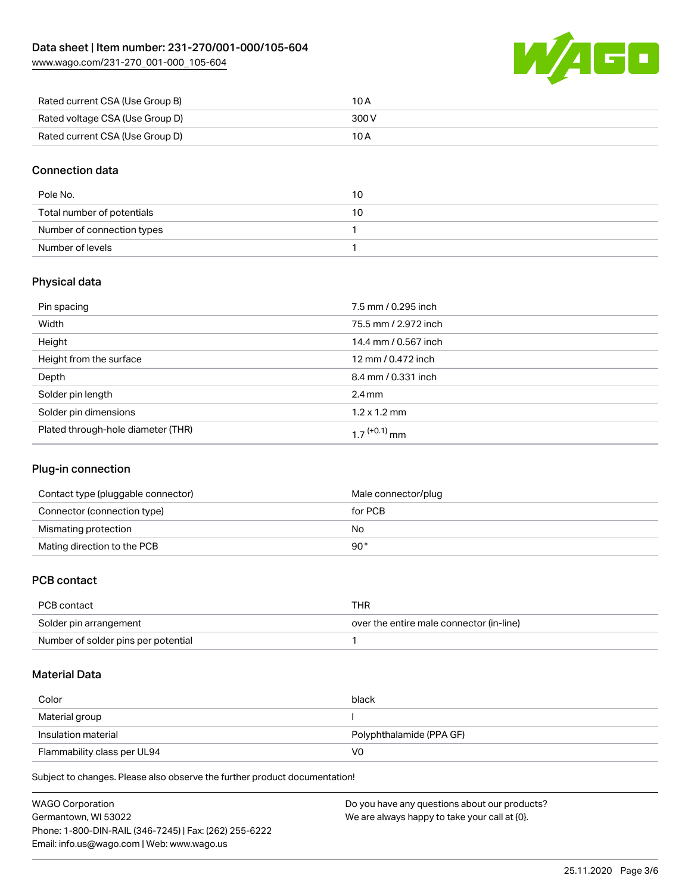[www.wago.com/231-270\\_001-000\\_105-604](http://www.wago.com/231-270_001-000_105-604)



| Rated current CSA (Use Group B) | 10 A  |
|---------------------------------|-------|
| Rated voltage CSA (Use Group D) | 300 V |
| Rated current CSA (Use Group D) | 10 A  |

# Connection data

| Pole No.                   | 10 |
|----------------------------|----|
| Total number of potentials | 10 |
| Number of connection types |    |
| Number of levels           |    |

# Physical data

| Pin spacing                        | 7.5 mm / 0.295 inch      |
|------------------------------------|--------------------------|
| Width                              | 75.5 mm / 2.972 inch     |
| Height                             | 14.4 mm / 0.567 inch     |
| Height from the surface            | 12 mm / 0.472 inch       |
| Depth                              | 8.4 mm / 0.331 inch      |
| Solder pin length                  | $2.4 \text{ mm}$         |
| Solder pin dimensions              | $1.2 \times 1.2$ mm      |
| Plated through-hole diameter (THR) | 1 7 <sup>(+0.1)</sup> mm |

# Plug-in connection

| Contact type (pluggable connector) | Male connector/plug |
|------------------------------------|---------------------|
| Connector (connection type)        | for PCB             |
| Mismating protection               | No                  |
| Mating direction to the PCB        | 90°                 |

# PCB contact

| PCB contact                         | THR                                      |
|-------------------------------------|------------------------------------------|
| Solder pin arrangement              | over the entire male connector (in-line) |
| Number of solder pins per potential |                                          |

### Material Data

| Color                       | black                    |
|-----------------------------|--------------------------|
| Material group              |                          |
| Insulation material         | Polyphthalamide (PPA GF) |
| Flammability class per UL94 | VO                       |

Subject to changes. Please also observe the further product documentation!

| <b>WAGO Corporation</b>                                | Do you have any questions about our products? |
|--------------------------------------------------------|-----------------------------------------------|
| Germantown, WI 53022                                   | We are always happy to take your call at {0}. |
| Phone: 1-800-DIN-RAIL (346-7245)   Fax: (262) 255-6222 |                                               |
| Email: info.us@wago.com   Web: www.wago.us             |                                               |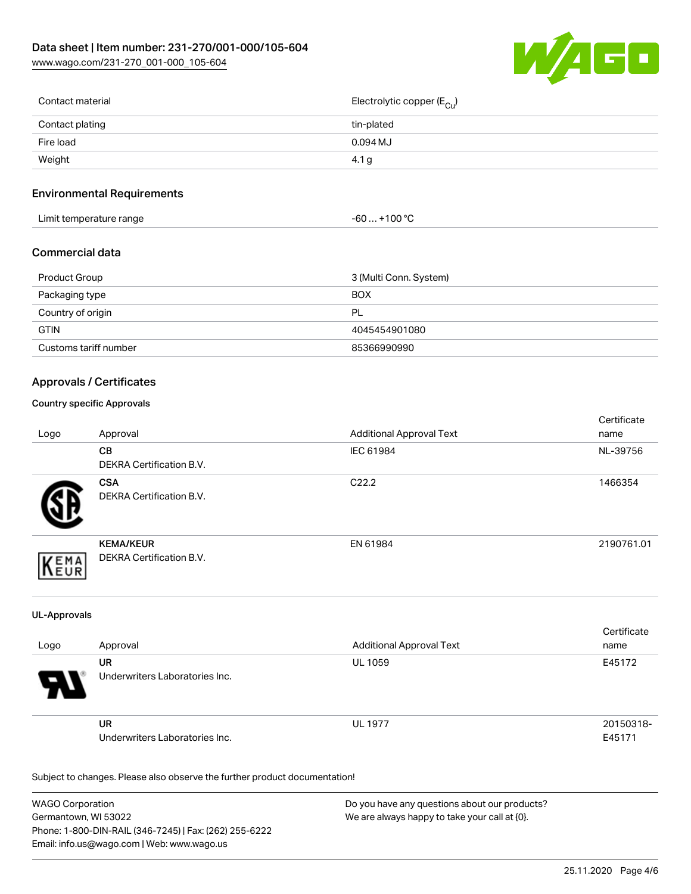

| Contact material | Electrolytic copper (E <sub>Cu</sub> ) |
|------------------|----------------------------------------|
| Contact plating  | tin-plated                             |
| Fire load        | 0.094 MJ                               |
| Weight           | 4.1 g                                  |
|                  |                                        |

# Environmental Requirements

| Limit temperature range | ⊥+100 °ົ<br>-60 |
|-------------------------|-----------------|
|-------------------------|-----------------|

# Commercial data

| Product Group         | 3 (Multi Conn. System) |
|-----------------------|------------------------|
| Packaging type        | <b>BOX</b>             |
| Country of origin     | PL                     |
| <b>GTIN</b>           | 4045454901080          |
| Customs tariff number | 85366990990            |

# Approvals / Certificates

### Country specific Approvals

| Logo       | Approval                                            | <b>Additional Approval Text</b> | Certificate<br>name |
|------------|-----------------------------------------------------|---------------------------------|---------------------|
|            | CB<br><b>DEKRA Certification B.V.</b>               | IEC 61984                       | NL-39756            |
|            | <b>CSA</b><br><b>DEKRA Certification B.V.</b>       | C <sub>22.2</sub>               | 1466354             |
| EMA<br>FUR | <b>KEMA/KEUR</b><br><b>DEKRA Certification B.V.</b> | EN 61984                        | 2190761.01          |

#### UL-Approvals

| Logo                  | Approval                             | <b>Additional Approval Text</b> | Certificate<br>name |
|-----------------------|--------------------------------------|---------------------------------|---------------------|
| $\boldsymbol{\theta}$ | UR<br>Underwriters Laboratories Inc. | <b>UL 1059</b>                  | E45172              |
|                       | UR<br>Underwriters Laboratories Inc. | <b>UL 1977</b>                  | 20150318-<br>E45171 |

Subject to changes. Please also observe the further product documentation!

| <b>WAGO Corporation</b>                                | Do you have any questions about our products? |
|--------------------------------------------------------|-----------------------------------------------|
| Germantown, WI 53022                                   | We are always happy to take your call at {0}. |
| Phone: 1-800-DIN-RAIL (346-7245)   Fax: (262) 255-6222 |                                               |
| Email: info.us@wago.com   Web: www.wago.us             |                                               |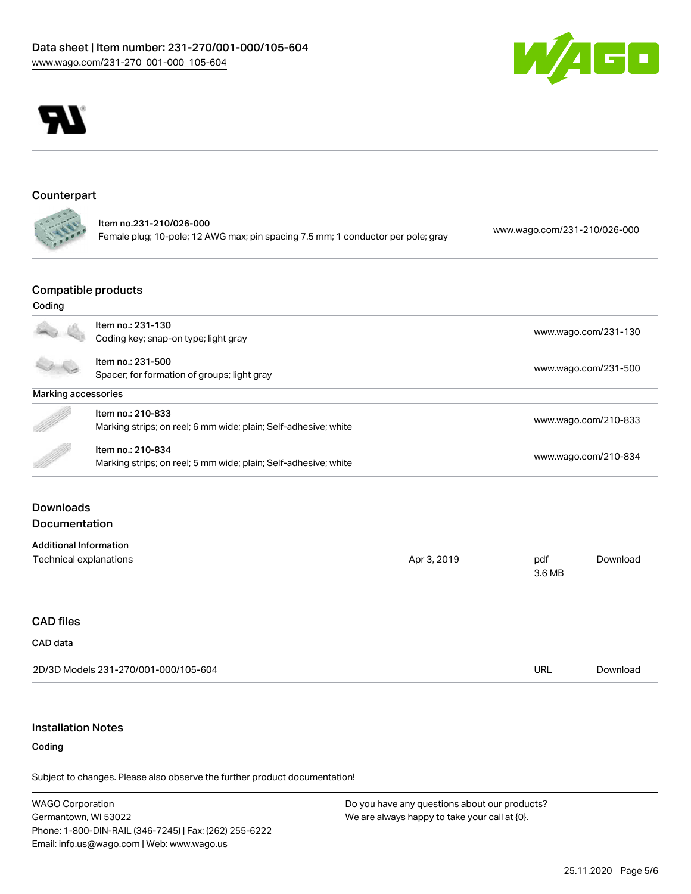



#### Counterpart **College**

Item no.231-210/026-000 Female plug; 10-pole; 12 AWG max; pin spacing 7.5 mm; 1 conductor per pole; gray [www.wago.com/231-210/026-000](https://www.wago.com/231-210/026-000)

# Compatible products

# Coding

|                               | Item no.: 231-130                                               |             |                      |                      |  |
|-------------------------------|-----------------------------------------------------------------|-------------|----------------------|----------------------|--|
|                               | Coding key; snap-on type; light gray                            |             | www.wago.com/231-130 |                      |  |
|                               | Item no.: 231-500                                               |             |                      |                      |  |
|                               | Spacer; for formation of groups; light gray                     |             |                      | www.wago.com/231-500 |  |
| Marking accessories           |                                                                 |             |                      |                      |  |
|                               | Item no.: 210-833                                               |             | www.wago.com/210-833 |                      |  |
|                               | Marking strips; on reel; 6 mm wide; plain; Self-adhesive; white |             |                      |                      |  |
|                               | Item no.: 210-834                                               |             |                      |                      |  |
|                               | Marking strips; on reel; 5 mm wide; plain; Self-adhesive; white |             | www.wago.com/210-834 |                      |  |
| <b>Documentation</b>          |                                                                 |             |                      |                      |  |
| <b>Additional Information</b> |                                                                 |             |                      |                      |  |
| <b>Technical explanations</b> |                                                                 | Apr 3, 2019 | pdf                  | Download             |  |
|                               |                                                                 |             | 3.6 MB               |                      |  |
| <b>CAD files</b>              |                                                                 |             |                      |                      |  |
| CAD data                      |                                                                 |             |                      |                      |  |
|                               | 2D/3D Models 231-270/001-000/105-604                            |             | URL                  | Download             |  |
|                               |                                                                 |             |                      |                      |  |

# Installation Notes

#### Coding

Subject to changes. Please also observe the further product documentation!

WAGO Corporation Germantown, WI 53022 Phone: 1-800-DIN-RAIL (346-7245) | Fax: (262) 255-6222 Email: info.us@wago.com | Web: www.wago.us

Do you have any questions about our products? We are always happy to take your call at {0}.